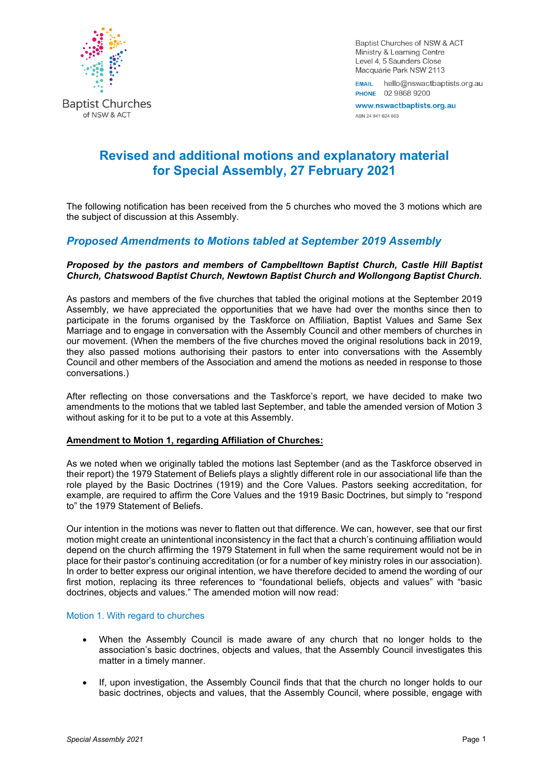

Baptist Churches of NSW & ACT Ministry & Learning Centre Level 4, 5 Saunders Close Macquarie Park NSW 2113

EMAIL hello@nswactbaptists.org.au PHONE 02 9868 9200

www.nswactbaptists.org.au ABN 24 941 624 663

# **Revised and additional motions and explanatory material for Special Assembly, 27 February 2021**

The following notification has been received from the 5 churches who moved the 3 motions which are the subject of discussion at this Assembly.

# *Proposed Amendments to Motions tabled at September 2019 Assembly*

# *Proposed by the pastors and members of Campbelltown Baptist Church, Castle Hill Baptist Church, Chatswood Baptist Church, Newtown Baptist Church and Wollongong Baptist Church.*

As pastors and members of the five churches that tabled the original motions at the September 2019 Assembly, we have appreciated the opportunities that we have had over the months since then to participate in the forums organised by the Taskforce on Affiliation, Baptist Values and Same Sex Marriage and to engage in conversation with the Assembly Council and other members of churches in our movement. (When the members of the five churches moved the original resolutions back in 2019, they also passed motions authorising their pastors to enter into conversations with the Assembly Council and other members of the Association and amend the motions as needed in response to those conversations.)

After reflecting on those conversations and the Taskforce's report, we have decided to make two amendments to the motions that we tabled last September, and table the amended version of Motion 3 without asking for it to be put to a vote at this Assembly.

# **Amendment to Motion 1, regarding Affiliation of Churches:**

As we noted when we originally tabled the motions last September (and as the Taskforce observed in their report) the 1979 Statement of Beliefs plays a slightly different role in our associational life than the role played by the Basic Doctrines (1919) and the Core Values. Pastors seeking accreditation, for example, are required to affirm the Core Values and the 1919 Basic Doctrines, but simply to "respond to" the 1979 Statement of Beliefs.

Our intention in the motions was never to flatten out that difference. We can, however, see that our first motion might create an unintentional inconsistency in the fact that a church's continuing affiliation would depend on the church affirming the 1979 Statement in full when the same requirement would not be in place for their pastor's continuing accreditation (or for a number of key ministry roles in our association). In order to better express our original intention, we have therefore decided to amend the wording of our first motion, replacing its three references to "foundational beliefs, objects and values" with "basic doctrines, objects and values." The amended motion will now read:

# Motion 1. With regard to churches

- When the Assembly Council is made aware of any church that no longer holds to the association's basic doctrines, objects and values, that the Assembly Council investigates this matter in a timely manner.
- If, upon investigation, the Assembly Council finds that that the church no longer holds to our basic doctrines, objects and values, that the Assembly Council, where possible, engage with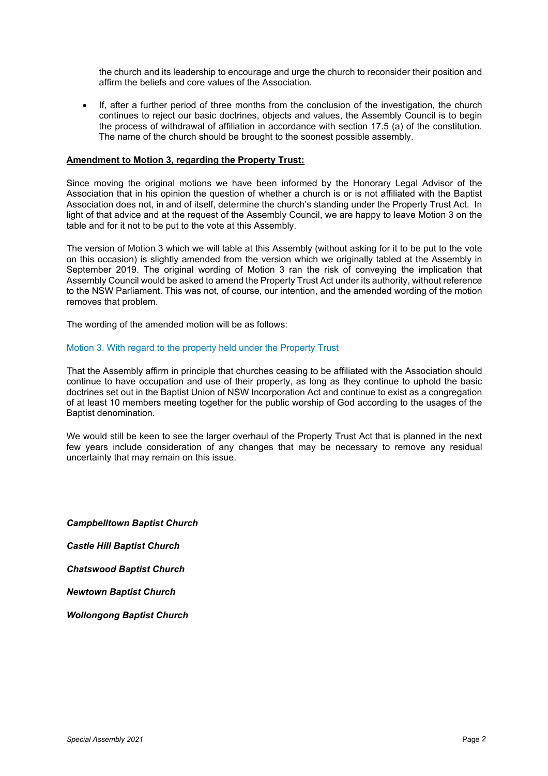the church and its leadership to encourage and urge the church to reconsider their position and affirm the beliefs and core values of the Association.

• If, after a further period of three months from the conclusion of the investigation, the church continues to reject our basic doctrines, objects and values, the Assembly Council is to begin the process of withdrawal of affiliation in accordance with section 17.5 (a) of the constitution. The name of the church should be brought to the soonest possible assembly.

# **Amendment to Motion 3, regarding the Property Trust:**

Since moving the original motions we have been informed by the Honorary Legal Advisor of the Association that in his opinion the question of whether a church is or is not affiliated with the Baptist Association does not, in and of itself, determine the church's standing under the Property Trust Act. In light of that advice and at the request of the Assembly Council, we are happy to leave Motion 3 on the table and for it not to be put to the vote at this Assembly.

The version of Motion 3 which we will table at this Assembly (without asking for it to be put to the vote on this occasion) is slightly amended from the version which we originally tabled at the Assembly in September 2019. The original wording of Motion 3 ran the risk of conveying the implication that Assembly Council would be asked to amend the Property Trust Act under its authority, without reference to the NSW Parliament. This was not, of course, our intention, and the amended wording of the motion removes that problem.

The wording of the amended motion will be as follows:

# Motion 3. With regard to the property held under the Property Trust

That the Assembly affirm in principle that churches ceasing to be affiliated with the Association should continue to have occupation and use of their property, as long as they continue to uphold the basic doctrines set out in the Baptist Union of NSW Incorporation Act and continue to exist as a congregation of at least 10 members meeting together for the public worship of God according to the usages of the Baptist denomination.

We would still be keen to see the larger overhaul of the Property Trust Act that is planned in the next few years include consideration of any changes that may be necessary to remove any residual uncertainty that may remain on this issue.

*Campbelltown Baptist Church* 

*Castle Hill Baptist Church*

*Chatswood Baptist Church* 

*Newtown Baptist Church*

*Wollongong Baptist Church*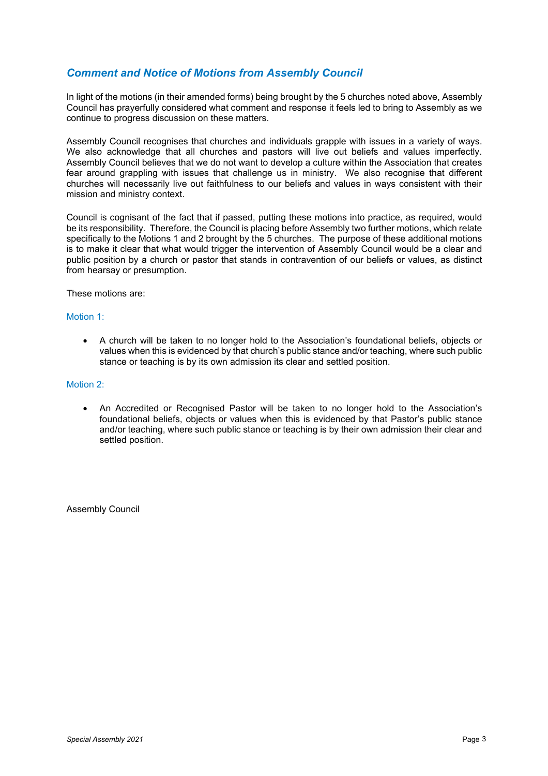# *Comment and Notice of Motions from Assembly Council*

In light of the motions (in their amended forms) being brought by the 5 churches noted above, Assembly Council has prayerfully considered what comment and response it feels led to bring to Assembly as we continue to progress discussion on these matters.

Assembly Council recognises that churches and individuals grapple with issues in a variety of ways. We also acknowledge that all churches and pastors will live out beliefs and values imperfectly. Assembly Council believes that we do not want to develop a culture within the Association that creates fear around grappling with issues that challenge us in ministry. We also recognise that different churches will necessarily live out faithfulness to our beliefs and values in ways consistent with their mission and ministry context.

Council is cognisant of the fact that if passed, putting these motions into practice, as required, would be its responsibility. Therefore, the Council is placing before Assembly two further motions, which relate specifically to the Motions 1 and 2 brought by the 5 churches. The purpose of these additional motions is to make it clear that what would trigger the intervention of Assembly Council would be a clear and public position by a church or pastor that stands in contravention of our beliefs or values, as distinct from hearsay or presumption.

These motions are:

#### Motion 1:

• A church will be taken to no longer hold to the Association's foundational beliefs, objects or values when this is evidenced by that church's public stance and/or teaching, where such public stance or teaching is by its own admission its clear and settled position.

#### Motion 2:

• An Accredited or Recognised Pastor will be taken to no longer hold to the Association's foundational beliefs, objects or values when this is evidenced by that Pastor's public stance and/or teaching, where such public stance or teaching is by their own admission their clear and settled position.

Assembly Council